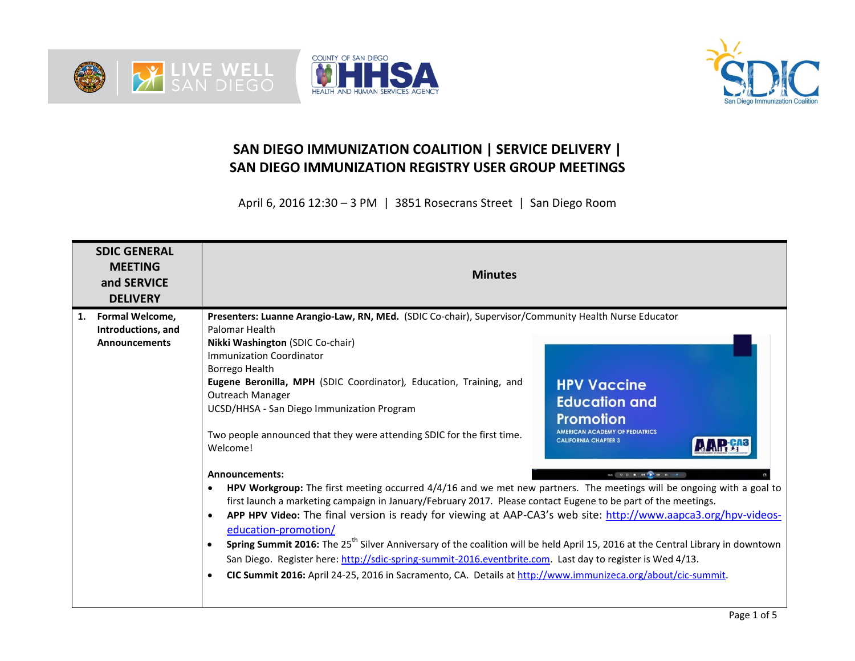





## **SAN DIEGO IMMUNIZATION COALITION | SERVICE DELIVERY | SAN DIEGO IMMUNIZATION REGISTRY USER GROUP MEETINGS**

April 6, 2016 12:30 – 3 PM | 3851 Rosecrans Street | San Diego Room

| <b>SDIC GENERAL</b><br><b>MEETING</b><br>and SERVICE<br><b>DELIVERY</b> | <b>Minutes</b>                                                                                                                                                                                                                                                                                                                                                                                                                                                                                                                                                                                                                                                                                                                                                                                                                                                                                                                                                                                                                                                                                                                                                                                                                                                                        |                                                                                                                                        |  |  |  |
|-------------------------------------------------------------------------|---------------------------------------------------------------------------------------------------------------------------------------------------------------------------------------------------------------------------------------------------------------------------------------------------------------------------------------------------------------------------------------------------------------------------------------------------------------------------------------------------------------------------------------------------------------------------------------------------------------------------------------------------------------------------------------------------------------------------------------------------------------------------------------------------------------------------------------------------------------------------------------------------------------------------------------------------------------------------------------------------------------------------------------------------------------------------------------------------------------------------------------------------------------------------------------------------------------------------------------------------------------------------------------|----------------------------------------------------------------------------------------------------------------------------------------|--|--|--|
| Formal Welcome,<br>1.<br>Introductions, and<br><b>Announcements</b>     | Presenters: Luanne Arangio-Law, RN, MEd. (SDIC Co-chair), Supervisor/Community Health Nurse Educator<br>Palomar Health<br>Nikki Washington (SDIC Co-chair)<br>Immunization Coordinator<br>Borrego Health<br><b>Eugene Beronilla, MPH</b> (SDIC Coordinator), Education, Training, and<br><b>Outreach Manager</b><br>UCSD/HHSA - San Diego Immunization Program<br>Two people announced that they were attending SDIC for the first time.<br>Welcome!<br><b>Announcements:</b><br>HPV Workgroup: The first meeting occurred 4/4/16 and we met new partners. The meetings will be ongoing with a goal to<br>$\bullet$<br>first launch a marketing campaign in January/February 2017. Please contact Eugene to be part of the meetings.<br>APP HPV Video: The final version is ready for viewing at AAP-CA3's web site: http://www.aapca3.org/hpv-videos-<br>$\bullet$<br>education-promotion/<br>Spring Summit 2016: The 25 <sup>th</sup> Silver Anniversary of the coalition will be held April 15, 2016 at the Central Library in downtown<br>San Diego. Register here: http://sdic-spring-summit-2016.eventbrite.com. Last day to register is Wed 4/13.<br>CIC Summit 2016: April 24-25, 2016 in Sacramento, CA. Details at http://www.immunizeca.org/about/cic-summit.<br>$\bullet$ | <b>HPV Vaccine</b><br><b>Education and</b><br><b>Promotion</b><br><b>AMERICAN ACADEMY OF PEDIATRICS</b><br><b>CALIFORNIA CHAPTER 3</b> |  |  |  |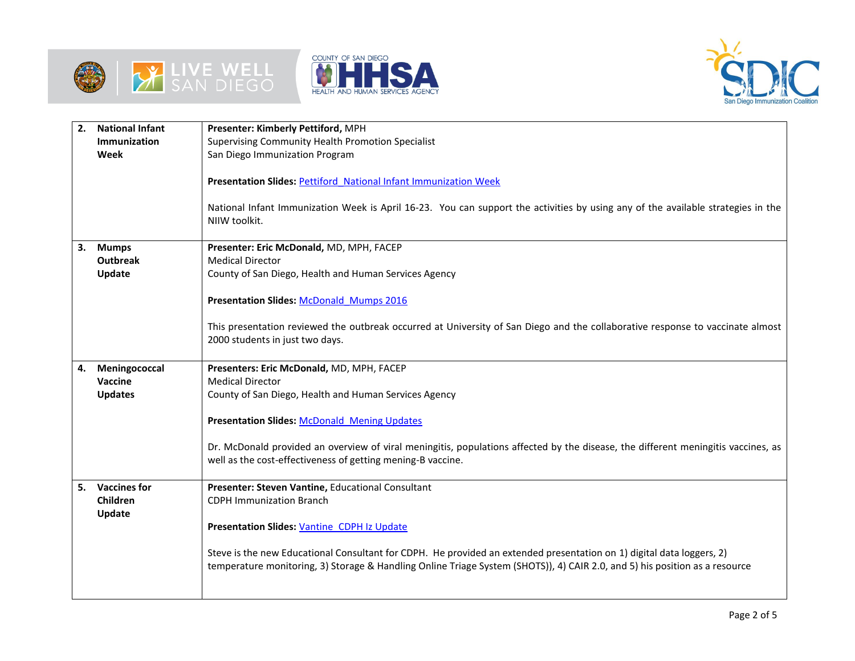





| 2. | <b>National Infant</b> | Presenter: Kimberly Pettiford, MPH                                                                                                |
|----|------------------------|-----------------------------------------------------------------------------------------------------------------------------------|
|    | <b>Immunization</b>    | Supervising Community Health Promotion Specialist                                                                                 |
|    | Week                   | San Diego Immunization Program                                                                                                    |
|    |                        |                                                                                                                                   |
|    |                        | <b>Presentation Slides: Pettiford National Infant Immunization Week</b>                                                           |
|    |                        |                                                                                                                                   |
|    |                        | National Infant Immunization Week is April 16-23. You can support the activities by using any of the available strategies in the  |
|    |                        | NIIW toolkit.                                                                                                                     |
|    |                        |                                                                                                                                   |
| 3. | <b>Mumps</b>           | Presenter: Eric McDonald, MD, MPH, FACEP                                                                                          |
|    | <b>Outbreak</b>        | <b>Medical Director</b>                                                                                                           |
|    | Update                 | County of San Diego, Health and Human Services Agency                                                                             |
|    |                        | <b>Presentation Slides: McDonald Mumps 2016</b>                                                                                   |
|    |                        |                                                                                                                                   |
|    |                        | This presentation reviewed the outbreak occurred at University of San Diego and the collaborative response to vaccinate almost    |
|    |                        | 2000 students in just two days.                                                                                                   |
|    |                        |                                                                                                                                   |
| 4. | Meningococcal          | Presenters: Eric McDonald, MD, MPH, FACEP                                                                                         |
|    | Vaccine                | <b>Medical Director</b>                                                                                                           |
|    | <b>Updates</b>         | County of San Diego, Health and Human Services Agency                                                                             |
|    |                        |                                                                                                                                   |
|    |                        | <b>Presentation Slides: McDonald Mening Updates</b>                                                                               |
|    |                        |                                                                                                                                   |
|    |                        | Dr. McDonald provided an overview of viral meningitis, populations affected by the disease, the different meningitis vaccines, as |
|    |                        | well as the cost-effectiveness of getting mening-B vaccine.                                                                       |
| 5. | <b>Vaccines for</b>    | Presenter: Steven Vantine, Educational Consultant                                                                                 |
|    | <b>Children</b>        | <b>CDPH Immunization Branch</b>                                                                                                   |
|    | Update                 |                                                                                                                                   |
|    |                        | Presentation Slides: Vantine CDPH Iz Update                                                                                       |
|    |                        |                                                                                                                                   |
|    |                        | Steve is the new Educational Consultant for CDPH. He provided an extended presentation on 1) digital data loggers, 2)             |
|    |                        | temperature monitoring, 3) Storage & Handling Online Triage System (SHOTS)), 4) CAIR 2.0, and 5) his position as a resource       |
|    |                        |                                                                                                                                   |
|    |                        |                                                                                                                                   |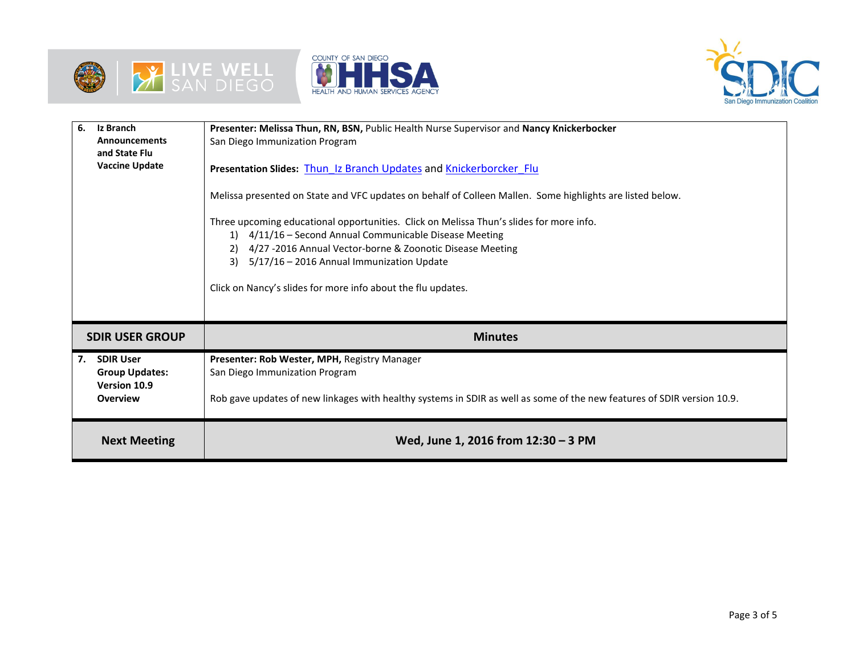





| 6.<br>Iz Branch<br><b>Announcements</b><br>and State Flu<br><b>Vaccine Update</b>  | Presenter: Melissa Thun, RN, BSN, Public Health Nurse Supervisor and Nancy Knickerbocker<br>San Diego Immunization Program<br>Presentation Slides: Thun Iz Branch Updates and Knickerborcker Flu<br>Melissa presented on State and VFC updates on behalf of Colleen Mallen. Some highlights are listed below.<br>Three upcoming educational opportunities. Click on Melissa Thun's slides for more info.<br>1) 4/11/16 - Second Annual Communicable Disease Meeting<br>4/27 -2016 Annual Vector-borne & Zoonotic Disease Meeting<br>5/17/16 - 2016 Annual Immunization Update<br>3)<br>Click on Nancy's slides for more info about the flu updates. |
|------------------------------------------------------------------------------------|-----------------------------------------------------------------------------------------------------------------------------------------------------------------------------------------------------------------------------------------------------------------------------------------------------------------------------------------------------------------------------------------------------------------------------------------------------------------------------------------------------------------------------------------------------------------------------------------------------------------------------------------------------|
| <b>SDIR USER GROUP</b>                                                             | <b>Minutes</b>                                                                                                                                                                                                                                                                                                                                                                                                                                                                                                                                                                                                                                      |
| <b>SDIR User</b><br>7.<br><b>Group Updates:</b><br>Version 10.9<br><b>Overview</b> | Presenter: Rob Wester, MPH, Registry Manager<br>San Diego Immunization Program<br>Rob gave updates of new linkages with healthy systems in SDIR as well as some of the new features of SDIR version 10.9.                                                                                                                                                                                                                                                                                                                                                                                                                                           |
| <b>Next Meeting</b>                                                                | Wed, June 1, 2016 from 12:30 - 3 PM                                                                                                                                                                                                                                                                                                                                                                                                                                                                                                                                                                                                                 |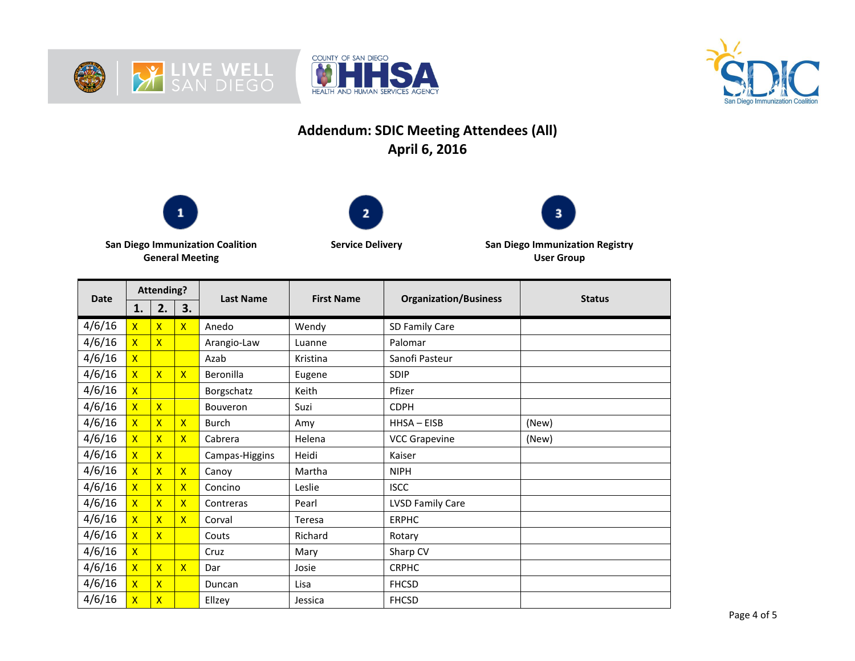





## **Addendum: SDIC Meeting Attendees (All) April 6, 2016**







**San Diego Immunization Coalition General Meeting**

**Service Delivery San Diego Immunization Registry User Group**

| <b>Date</b> | <b>Attending?</b>       |                         |                         | <b>Last Name</b> | <b>First Name</b> | <b>Organization/Business</b> | <b>Status</b> |
|-------------|-------------------------|-------------------------|-------------------------|------------------|-------------------|------------------------------|---------------|
|             | 1.                      | 2.                      | 3.                      |                  |                   |                              |               |
| 4/6/16      | $\overline{\mathsf{X}}$ | $\overline{\mathsf{X}}$ | $\overline{\mathsf{X}}$ | Anedo            | Wendy             | SD Family Care               |               |
| 4/6/16      | $\overline{\mathsf{x}}$ | $\overline{\mathsf{x}}$ |                         | Arangio-Law      | Luanne            | Palomar                      |               |
| 4/6/16      | $\overline{\mathsf{x}}$ |                         |                         | Azab             | Kristina          | Sanofi Pasteur               |               |
| 4/6/16      | $\overline{\mathsf{X}}$ | $\overline{\mathsf{x}}$ | $\mathsf{X}$            | Beronilla        | Eugene            | <b>SDIP</b>                  |               |
| 4/6/16      | $\overline{\mathsf{x}}$ |                         |                         | Borgschatz       | Keith             | Pfizer                       |               |
| 4/6/16      | $\overline{\mathsf{X}}$ | $\overline{\mathsf{x}}$ |                         | Bouveron         | Suzi              | <b>CDPH</b>                  |               |
| 4/6/16      | $\overline{\mathsf{X}}$ | $\overline{\mathsf{x}}$ | $\mathsf{X}$            | <b>Burch</b>     | Amy               | $HHSA - EISB$                | (New)         |
| 4/6/16      | $\overline{\mathsf{X}}$ | $\overline{\mathsf{X}}$ | $\mathsf{X}$            | Cabrera          | Helena            | <b>VCC Grapevine</b>         | (New)         |
| 4/6/16      | $\overline{\mathsf{X}}$ | $\overline{\mathsf{x}}$ |                         | Campas-Higgins   | Heidi             | Kaiser                       |               |
| 4/6/16      | $\overline{\mathsf{x}}$ | $\overline{\mathsf{x}}$ | $\mathsf{X}$            | Canoy            | Martha            | <b>NIPH</b>                  |               |
| 4/6/16      | $\overline{\mathsf{x}}$ | $\mathsf{x}$            | $\mathsf{X}$            | Concino          | Leslie            | <b>ISCC</b>                  |               |
| 4/6/16      | $\overline{\mathsf{X}}$ | $\overline{\mathsf{x}}$ | $\overline{\mathsf{x}}$ | Contreras        | Pearl             | <b>LVSD Family Care</b>      |               |
| 4/6/16      | $\overline{\mathsf{X}}$ | $\overline{\mathsf{X}}$ | $\mathsf{x}$            | Corval           | Teresa            | <b>ERPHC</b>                 |               |
| 4/6/16      | $\overline{\mathsf{X}}$ | $\overline{\mathsf{x}}$ |                         | Couts            | Richard           | Rotary                       |               |
| 4/6/16      | $\overline{\mathsf{X}}$ |                         |                         | Cruz             | Mary              | Sharp CV                     |               |
| 4/6/16      | $\overline{\mathsf{x}}$ | $\overline{\mathsf{x}}$ | $\mathsf{X}$            | Dar              | Josie             | <b>CRPHC</b>                 |               |
| 4/6/16      | $\overline{\mathsf{X}}$ | $\overline{\mathsf{x}}$ |                         | Duncan           | Lisa              | <b>FHCSD</b>                 |               |
| 4/6/16      | $\overline{\mathsf{X}}$ | $\overline{\mathsf{x}}$ |                         | Ellzey           | Jessica           | <b>FHCSD</b>                 |               |